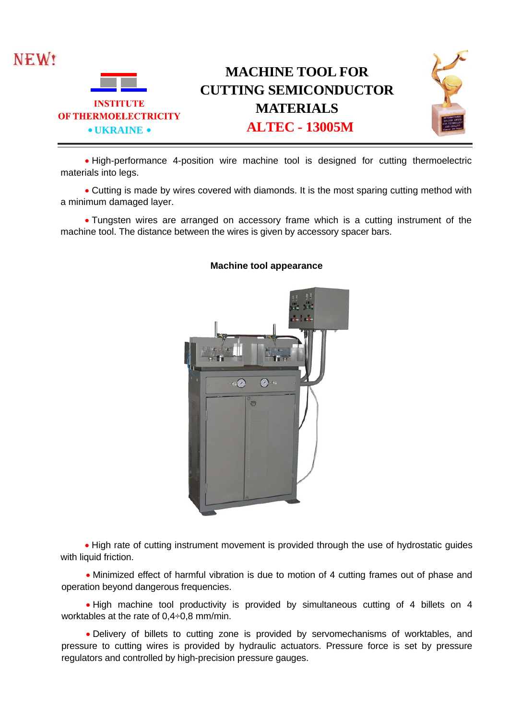

• High-performance 4-position wire machine tool is designed for cutting thermoelectric materials into legs.

• Cutting is made by wires covered with diamonds. It is the most sparing cutting method with a minimum damaged layer.

• Tungsten wires are arranged on accessory frame which is a cutting instrument of the machine tool. The distance between the wires is given by accessory spacer bars.



## **Machine tool appearance**

• High rate of cutting instrument movement is provided through the use of hydrostatic guides with liquid friction.

• Minimized effect of harmful vibration is due to motion of 4 cutting frames out of phase and operation beyond dangerous frequencies.

• High machine tool productivity is provided by simultaneous cutting of 4 billets on 4 worktables at the rate of 0,4÷0,8 mm/min.

• Delivery of billets to cutting zone is provided by servomechanisms of worktables, and pressure to cutting wires is provided by hydraulic actuators. Pressure force is set by pressure regulators and controlled by high-precision pressure gauges.